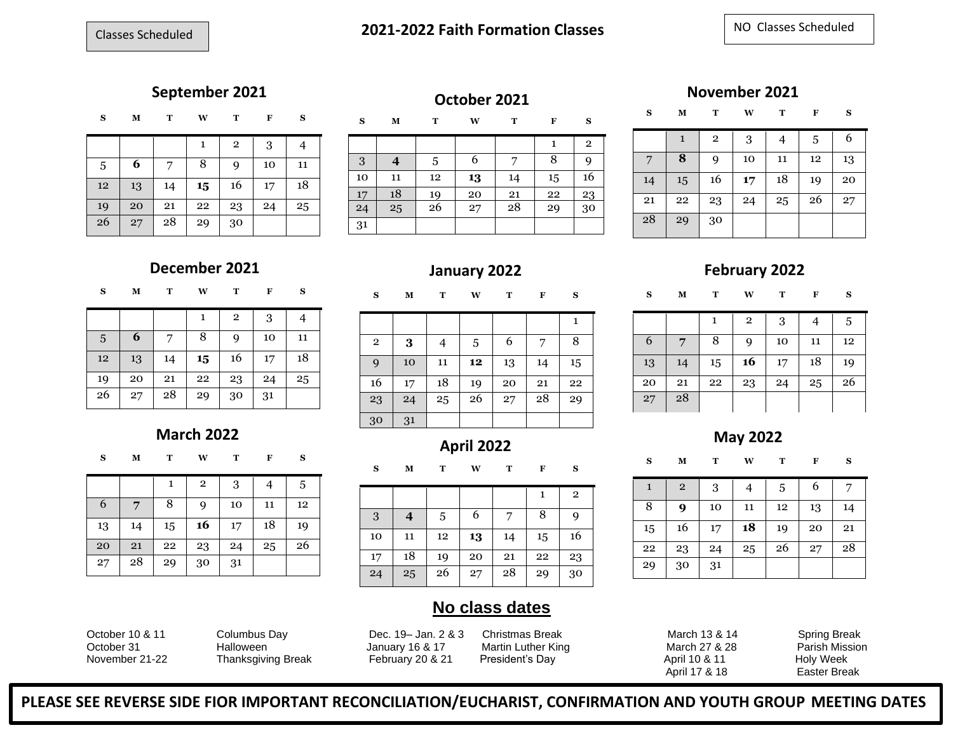## **September 2021 October 2021 November 2021 November 2021**

| s<br>- |  |  | - |
|--------|--|--|---|
|        |  |  |   |

|    |    |    |    | $\mathbf{2}$ | 3  |    |
|----|----|----|----|--------------|----|----|
| 5  | 6  |    | 8  | 9            | 10 | 11 |
| 12 | 13 | 14 | 15 | 16           | 17 | 18 |
| 19 | 20 | 21 | 22 | 23           | 24 | 25 |
| 26 | 27 | 28 | 29 | 30           |    |    |

**S M T W T F S** 2 **4** 5 6 7 8 9 11 12 **13** 14 15 16 17 | 18 | 19 | 20 | 21 | 22 | 23  $25$   $26$   $27$   $28$   $29$   $30$ 

**S M T W T F S**

|    | 1  | $\overline{2}$ | 3  | 4  | 5  | 6  |
|----|----|----------------|----|----|----|----|
|    | 8  | 9              | 10 | 11 | 12 | 13 |
| 14 | 15 | 16             | 17 | 18 | 19 | 20 |
| 21 | 22 | 23             | 24 | 25 | 26 | 27 |
| 28 | 29 | 30             |    |    |    |    |

**S M T W T F S**

 **7** 8 9 10 11 12 14 15 **16** 17 18 19 21 22 23 24 25 26

**S M T W T F S**

 $1 \t2 \t3 \t4 \t5 \t6 \t7$ **9** 10 11 12 13 14 16 17 **18** 19 20 21 |  $23$  |  $24$  |  $25$  |  $26$  |  $27$  |  $28$ 

 $1 \ 2 \ 3 \ 4 \ 5$ 

| ິ<br>$\sim$ |  | <b>EAT</b> |  | $\sim$ |
|-------------|--|------------|--|--------|
|             |  |            |  |        |

|    |    |    | 1  | $\mathbf{2}$ | 3  |    |
|----|----|----|----|--------------|----|----|
| 5  | 6  |    | 8  | 9            | 10 | 11 |
| 12 | 13 | 14 | 15 | 16           | 17 | 18 |
| 19 | 20 | 21 | 22 | 23           | 24 | 25 |
| 26 | 27 | 28 | 29 | 30           | 31 |    |

### **March 2022**

| $\sim$ | и | <b>TAT</b> |  | $\sim$ |
|--------|---|------------|--|--------|
|        |   |            |  |        |

|    |    | 1  | $\overline{2}$ | 3  | 4  | 5  |
|----|----|----|----------------|----|----|----|
| 6  |    | 8  | q              | 10 | 11 | 12 |
| 13 | 14 | 15 | 16             | 17 | 18 | 19 |
| 20 | 21 | 22 | 23             | 24 | 25 | 26 |
| 27 | 28 | 29 | 30             | 31 |    |    |

**December 2021 January 2022 February 2022**

**S M T W T F S**

|                |    |    |    |    |    | 1  |
|----------------|----|----|----|----|----|----|
| $\overline{2}$ | 3  | 4  | 5  | 6  | 7  | 8  |
| 9              | 10 | 11 | 12 | 13 | 14 | 15 |
| 16             | 17 | 18 | 19 | 20 | 21 | 22 |
| 23             | 24 | 25 | 26 | 27 | 28 | 29 |
| 30             | 31 |    |    |    |    |    |

## **April 2022 May** 2022<br> **May** 2022<br> **April 2022**

**S M T W T F S**

|    |    |    |    |    | 1  | $\overline{2}$ |
|----|----|----|----|----|----|----------------|
| 3  | 4  | 5  | 6  |    | 8  | 9              |
| 10 | 11 | 12 | 13 | 14 | 15 | 16             |
| 17 | 18 | 19 | 20 | 21 | 22 | 23             |
| 24 | 25 | 26 | 27 | 28 | 29 | 30             |

### **No class dates**

October 10 & 11 Columbus Day Dec. 19– Jan. 2 & 3 Christmas Break March 13 & 14 Spring Break October 31 **Halloween** January 16 & 17 Martin Luther King March 27 & 28 Parish Mission November 21-22 Thanksgiving Break February 20 & 21 President's Day April 10 & 11 Holy Week

 $29 \mid 30 \mid 31$ 

28

April 17 & 18 Easter Break

**PLEASE SEE REVERSE SIDE FIOR IMPORTANT RECONCILIATION/EUCHARIST, CONFIRMATION AND YOUTH GROUP MEETING DATES**